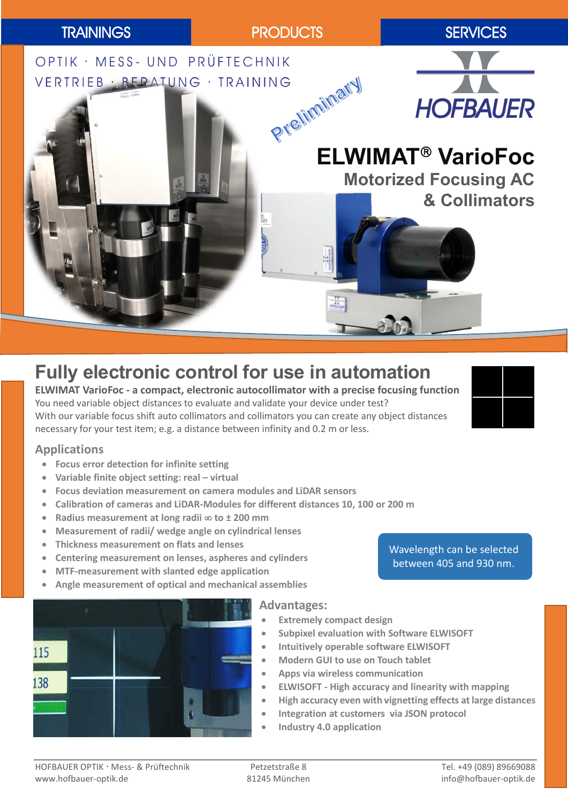

# **Fully electronic control for use in automation**

**ELWIMAT VarioFoc - a compact, electronic autocollimator with a precise focusing function** You need variable object distances to evaluate and validate your device under test? With our variable focus shift auto collimators and collimators you can create any object distances necessary for your test item; e.g. a distance between infinity and 0.2 m or less.

### **Applications**

- **Focus error detection for infinite setting**
- **Variable finite object setting: real – virtual**
- **Focus deviation measurement on camera modules and LiDAR sensors**
- **Calibration of cameras and LiDAR-Modules for different distances 10, 100 or 200 m**
- **■** Radius measurement at long radii  $∞$  to ± 200 mm
- **Measurement of radii/ wedge angle on cylindrical lenses**
- **Thickness measurement on flats and lenses**
- **Centering measurement on lenses, aspheres and cylinders**
- **MTF-measurement with slanted edge application**
- **Angle measurement of optical and mechanical assemblies**

#### **Advantages:**

- **Extremely compact design**
- **Subpixel evaluation with Software ELWISOFT**
- **Intuitively operable software ELWISOFT**
- **Modern GUI to use on Touch tablet**
- **Apps via wireless communication**
- **ELWISOFT - High accuracy and linearity with mapping**
- **High accuracy even with vignetting effects at large distances**
- **Integration at customers via JSON protocol**
- **Industry 4.0 application**

Wavelength can be selected between 405 and 930 nm.



HOFBAUER OPTIK · Mess- & Prüftechnik Petzetstraße 8 Tel. +49 (089) 89669088 Fel. +49 (089) 89669088 www.hofbauer-optik.de 81245 München info@hofbauer-optik.de